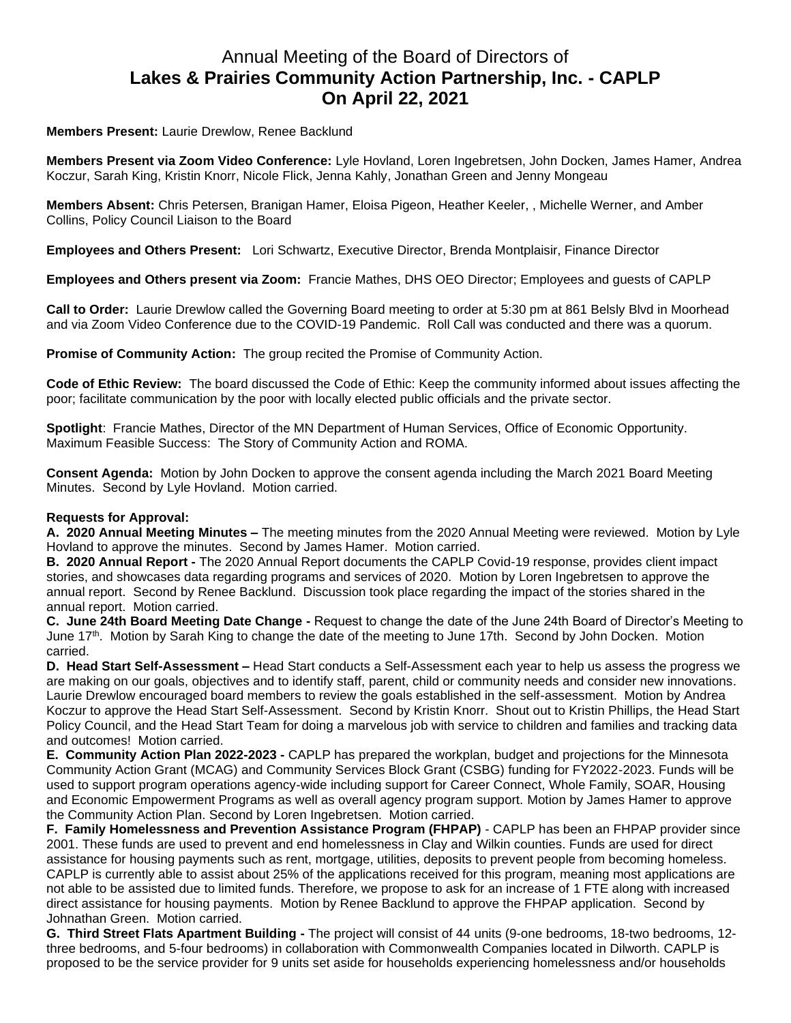## Annual Meeting of the Board of Directors of **Lakes & Prairies Community Action Partnership, Inc. - CAPLP On April 22, 2021**

**Members Present:** Laurie Drewlow, Renee Backlund

**Members Present via Zoom Video Conference:** Lyle Hovland, Loren Ingebretsen, John Docken, James Hamer, Andrea Koczur, Sarah King, Kristin Knorr, Nicole Flick, Jenna Kahly, Jonathan Green and Jenny Mongeau

**Members Absent:** Chris Petersen, Branigan Hamer, Eloisa Pigeon, Heather Keeler, , Michelle Werner, and Amber Collins, Policy Council Liaison to the Board

**Employees and Others Present:** Lori Schwartz, Executive Director, Brenda Montplaisir, Finance Director

**Employees and Others present via Zoom:** Francie Mathes, DHS OEO Director; Employees and guests of CAPLP

**Call to Order:** Laurie Drewlow called the Governing Board meeting to order at 5:30 pm at 861 Belsly Blvd in Moorhead and via Zoom Video Conference due to the COVID-19 Pandemic. Roll Call was conducted and there was a quorum.

**Promise of Community Action:** The group recited the Promise of Community Action.

**Code of Ethic Review:** The board discussed the Code of Ethic: Keep the community informed about issues affecting the poor; facilitate communication by the poor with locally elected public officials and the private sector.

**Spotlight**: Francie Mathes, Director of the MN Department of Human Services, Office of Economic Opportunity. Maximum Feasible Success: The Story of Community Action and ROMA.

**Consent Agenda:** Motion by John Docken to approve the consent agenda including the March 2021 Board Meeting Minutes. Second by Lyle Hovland. Motion carried.

## **Requests for Approval:**

**A. 2020 Annual Meeting Minutes –** The meeting minutes from the 2020 Annual Meeting were reviewed. Motion by Lyle Hovland to approve the minutes. Second by James Hamer. Motion carried.

**B. 2020 Annual Report -** The 2020 Annual Report documents the CAPLP Covid-19 response, provides client impact stories, and showcases data regarding programs and services of 2020. Motion by Loren Ingebretsen to approve the annual report. Second by Renee Backlund. Discussion took place regarding the impact of the stories shared in the annual report. Motion carried.

**C. June 24th Board Meeting Date Change -** Request to change the date of the June 24th Board of Director's Meeting to June 17th. Motion by Sarah King to change the date of the meeting to June 17th. Second by John Docken. Motion carried.

**D. Head Start Self-Assessment –** Head Start conducts a Self-Assessment each year to help us assess the progress we are making on our goals, objectives and to identify staff, parent, child or community needs and consider new innovations. Laurie Drewlow encouraged board members to review the goals established in the self-assessment. Motion by Andrea Koczur to approve the Head Start Self-Assessment. Second by Kristin Knorr. Shout out to Kristin Phillips, the Head Start Policy Council, and the Head Start Team for doing a marvelous job with service to children and families and tracking data and outcomes! Motion carried.

**E. Community Action Plan 2022-2023 -** CAPLP has prepared the workplan, budget and projections for the Minnesota Community Action Grant (MCAG) and Community Services Block Grant (CSBG) funding for FY2022-2023. Funds will be used to support program operations agency-wide including support for Career Connect, Whole Family, SOAR, Housing and Economic Empowerment Programs as well as overall agency program support. Motion by James Hamer to approve the Community Action Plan. Second by Loren Ingebretsen. Motion carried.

**F. Family Homelessness and Prevention Assistance Program (FHPAP)** - CAPLP has been an FHPAP provider since 2001. These funds are used to prevent and end homelessness in Clay and Wilkin counties. Funds are used for direct assistance for housing payments such as rent, mortgage, utilities, deposits to prevent people from becoming homeless. CAPLP is currently able to assist about 25% of the applications received for this program, meaning most applications are not able to be assisted due to limited funds. Therefore, we propose to ask for an increase of 1 FTE along with increased direct assistance for housing payments. Motion by Renee Backlund to approve the FHPAP application. Second by Johnathan Green. Motion carried.

**G. Third Street Flats Apartment Building -** The project will consist of 44 units (9-one bedrooms, 18-two bedrooms, 12 three bedrooms, and 5-four bedrooms) in collaboration with Commonwealth Companies located in Dilworth. CAPLP is proposed to be the service provider for 9 units set aside for households experiencing homelessness and/or households